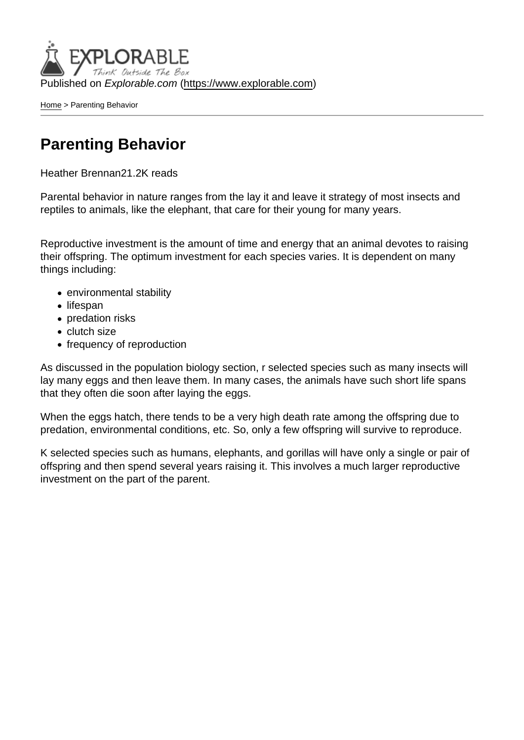Published on Explorable.com (<https://www.explorable.com>)

[Home](https://www.explorable.com/) > Parenting Behavior

## Parenting Behavior

Heather Brennan21.2K reads

Parental behavior in nature ranges from the lay it and leave it strategy of most insects and reptiles to animals, like the elephant, that care for their young for many years.

Reproductive investment is the amount of time and energy that an animal devotes to raising their offspring. The optimum investment for each species varies. It is dependent on many things including:

- environmental stability
- lifespan
- predation risks
- clutch size
- frequency of reproduction

As discussed in the population biology section, r selected species such as many insects will lay many eggs and then leave them. In many cases, the animals have such short life spans that they often die soon after laying the eggs.

When the eggs hatch, there tends to be a very high death rate among the offspring due to predation, environmental conditions, etc. So, only a few offspring will survive to reproduce.

K selected species such as humans, elephants, and gorillas will have only a single or pair of offspring and then spend several years raising it. This involves a much larger reproductive investment on the part of the parent.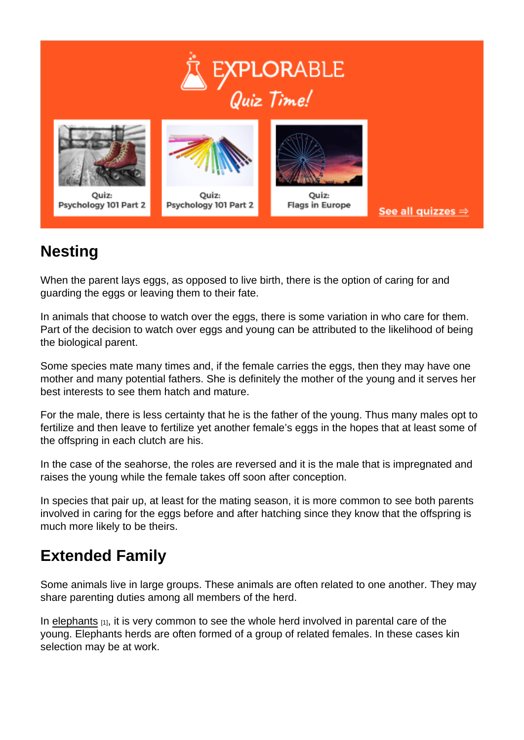## **Nesting**

When the parent lays eggs, as opposed to live birth, there is the option of caring for and guarding the eggs or leaving them to their fate.

In animals that choose to watch over the eggs, there is some variation in who care for them. Part of the decision to watch over eggs and young can be attributed to the likelihood of being the biological parent.

Some species mate many times and, if the female carries the eggs, then they may have one mother and many potential fathers. She is definitely the mother of the young and it serves her best interests to see them hatch and mature.

For the male, there is less certainty that he is the father of the young. Thus many males opt to fertilize and then leave to fertilize yet another female's eggs in the hopes that at least some of the offspring in each clutch are his.

In the case of the seahorse, the roles are reversed and it is the male that is impregnated and raises the young while the female takes off soon after conception.

In species that pair up, at least for the mating season, it is more common to see both parents involved in caring for the eggs before and after hatching since they know that the offspring is much more likely to be theirs.

## Extended Family

Some animals live in large groups. These animals are often related to one another. They may share parenting duties among all members of the herd.

In [elephants](http://asdfes.edublogs.org/gestation-parental-care/) [1], it is very common to see the whole herd involved in parental care of the young. Elephants herds are often formed of a group of related females. In these cases kin selection may be at work.